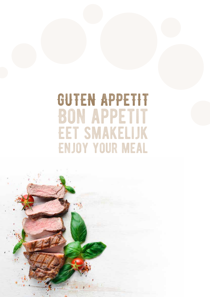## GUTEN APPETIT **BON APPETIT EET SMAKELIJK ENJOY YOUR MEAL**

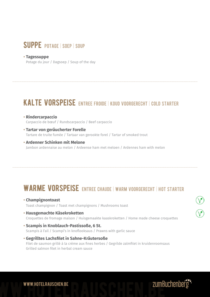## SUPPE POTAGE | SOEP | SOUP

#### **• Tagessuppe** 3,50**€***6€***<b>***E*

Potage du jour / Dagsoep / Soup of the day

## KALTE VORSPEISE ENTREE FROIDE | KOUD VOORGERECHT | COLD STARTER

- $\cdot$  Rindercarpaccio Carpaccio de bœuf / Rundscarpaccio / Beef carpaccio
- **Tartar von geräucherter Forelle** 9,50**€** Tartare de truite fumée / Tartaar van gerookte forel / Tartar of smoked trout
- **Ardenner Schinken mit Melone** Jambon ardennaise au melon / Ardeense ham met meloen / Ardennes ham with melon

## WARME VORSPEISE ENTREE CHAUDE | WARM VOORGERECHT | HOT STARTER

- **Champignontoast** 8,50**€** Toast champignon / Toast met champignons / Mushrooms toast
- **Hausgemachte Käsekroketten** 8,50**€**

Croquettes de fromage maison / Huisgemaakte kaaskroketten / Home made cheese croquettes

- **Scampis in Knoblauch-Pastissoße, 6 St.** 12,50**€** Scampis à l'ail / Scampi's in knoflooksaus / Prawns with garlic sauce
- **Gegrilltes Lachsfilet in Sahne-Kräutersoße** 12,50**€** Filet de saumon grillé à la crème aux fines herbes / Gegrilde zalmfilet in kruidenroomsaus Grilled salmon filet in herbal cream sauce

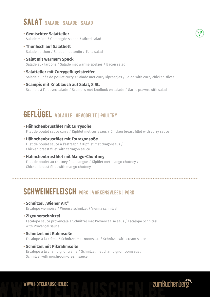## SALAT SALADE | SALADE | SALAD

- **Gemischter Salatteller** Salade mixte / Gemengde salade / Mixed salad
- **Thunfisch auf Salatbett** Salade au thon / Salade met tonijn / Tuna salad
- **Salat mit warmem Speck** Salade aux lardons / Salade met warme spekjes / Bacon salad
- **Salatteller mit Currygeflügelstreifen** 15,50**€** Salade au dés de poulet curry / Salade met curry kipreepjes / Salad with curry chicken slices
- **Scampis mit Knoblauch auf Salat, 8 St.** Scampis à l'ail avec salade / Scampi's met knoflook en salade / Garlic prawns with salad

## GEFLUGEL VOLAILLE | GEVOGELTE | POULTRY

- **Hähnchenbrustfilet mit Currysoße** Filet de poulet sauce curry / Kipfilet met currysaus / Chicken breast fillet with curry sauce
- **Hähnchenbrustfilet mit Estragonsoße** Filet de poulet sauce à l'estragon / Kipfilet met dragonsaus / Chicken breast fillet with tarragon sauce
- **Hähnchenbrustfilet mit Mango-Chuntney** Filet de poulet au chutney à la mangue / Kipfilet met mango chutney / Chicken breast fillet with mango chutney

## SCHWEINEFLEISCH PORC | VARKENSVLEES | PORK

- **Schnitzel "Wiener Art"** Escalope viennoise / Weense schnitzel / Vienna schnitzel
- **Zigeunerschnitzel** 14,00**€** Escalope sauce provençale / Schnitzel met Provençaalse saus / Escalope Schnitzel with Provençal sauce
- **Schnitzel mit Rahmsoße** Escalope à la crème / Schnitzel met roomsaus / Schnitzel with cream sauce
- **Schnitzel mit Pilzrahmsoße** Escalope à la champignoncrème / Schnitzel met champignonroomsaus / Schnitzel with mushroom-cream sauce

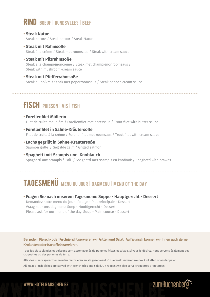### Rind Boeuf | Rundsvlees | Beef

- **Steak Natur** 22,50**€***C* Steak nature / Steak natuur / Steak Natur
- **Steak mit Rahmsoße** Steak à la crème / Steak met roomsaus / Steak with cream sauce
- **Steak mit Pilzrahmsoße** 27,50**€** Steak à la champignoncrème / Steak met champignonroomsaus / Steak with mushroom-cream sauce
- **Steak mit Pfefferrahmsoße** Steak au poivre / Steak met peperroomsaus / Steak pepper-cream sauce

## FISCH POISSON | VIS | FISH

- **Forellenfilet Müllerin** Filet de truite meunière / Forellenfilet met botersaus / Trout filet with butter sauce
- **Forellenfilet in Sahne-Kräutersoße** Filet de truite à la crème / Forellenfilet met roomsaus / Trout filet with cream sauce
- **Lachs gegrillt in Sahne-Kräutersoße** Saumon grillé / Gegrilde zalm / Grilled salmon
- **Spaghetti mit Scampis und Knoblauch** Spaghetti aux scampis à l'ail / Spaghetti met scampis en knoflook / Spaghetti with prawns

## **TAGESMENU MENU DU JOUR | DAGMENU | MENU OF THE DAY**

**• Fragen Sie nach unserem Tagesmenü: Suppe - Hauptgericht - Dessert** 15,00**€**

Demandez notre menu du jour : Potage - Plat principale - Dessert Vraag naar ons dagmenu: Soep - Hoofdgerecht - Dessert Please ask for our menu of the day: Soup - Main course - Dessert

#### **Bei jedem Fleisch- oder Fischgericht servieren wir Fritten und Salat. Auf Wunsch können wir Ihnen auch gerne Kroketten oder Kartoffeln servieren.**

Tous les plats viandes et poissons sont accompagnés de pommes frittes et salade. Si vous le désirez, nous servons également des croquettes ou des pommes de terre.

Alle vlees- en visgerechten worden met frieten en sla geserveerd. Op verzoek serveren we ook kroketten of aardappelen. All meat or fish dishes are served with French fries and salad. On request we also serve croquettes or potatoes.



# www.hotelrauschen.be www.hotelrauschen.be www.hotelrauschen.be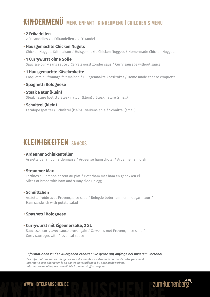## KINDERMENÜ MENU ENFANT | KINDERMENU | CHILDREN'S MENU

#### **• 2 Frikadellen** 6,50**€**

2 Fricandelles / 2 Frikandellen / 2 Frikandel

- **• Hausgemachte Chicken Nugets** 8,00**€** Chicken Nuggets fait maison / Huisgemaakte Chicken Nuggets / Home-made Chicken Nuggets
- **•** 1 Currywurst ohne Soße Saucisse curry sans sauce / Cervelaworst zonder saus / Curry sausage without sauce
- **• 1 Hausgemachte Käsekrokette** 5,40**€** Croquette au fromage fait maison / Huisgemaakte kaaskroket / Home made cheese croquette
- **•** Spaghetti Bolognese
- **• Steak Natur (klein)** 14,90**€** Steak nature (petit) / Steak natuur (klein) / Steak nature (small)
- **• Schnitzel (klein)** 8,50**€** Escalope (petite) / Schnitzel (klein) - varkenslapje / Schnitzel (small)

## KLEINIGKEITEN SNACKS

#### **• Ardenner Schinkenteller**

Assiette de jambon ardennaise / Ardeense hamschotel / Ardenne ham dish

#### **• Strammer Max**

Tartines au jambon et œuf au plat / Boterham met ham en gebakken ei Slices of bread with ham and sunny side up egg

#### **• Schnittchen** 14,50**€**

Assiette froide avec Provençaalse saus / Belegde boterhammen met garnituur / Ham sandwich with potato salad

#### **• Spaghetti Bolognese**

#### **• Currywurst mit Zigeunersoße, 2 St.**

Saucisses curry avec sauce provençale / Cervela's met Provençaalse saus / Curry sausages with Provencal sauce

#### *Informationen zu den Allergenen erhalten Sie gerne auf Anfrage bei unserem Personal.*

*Des informations sur les allergènes sont disponibles sur demande auprès de notre personnel. Informatie over allergenen is op aanvraag verkrijgbaar bij onze medewerkers. Information on allergens is available from our staff on request.*



# www.hotelrauschen.be www.hotelrauschen.be www.hotelrauschen.be